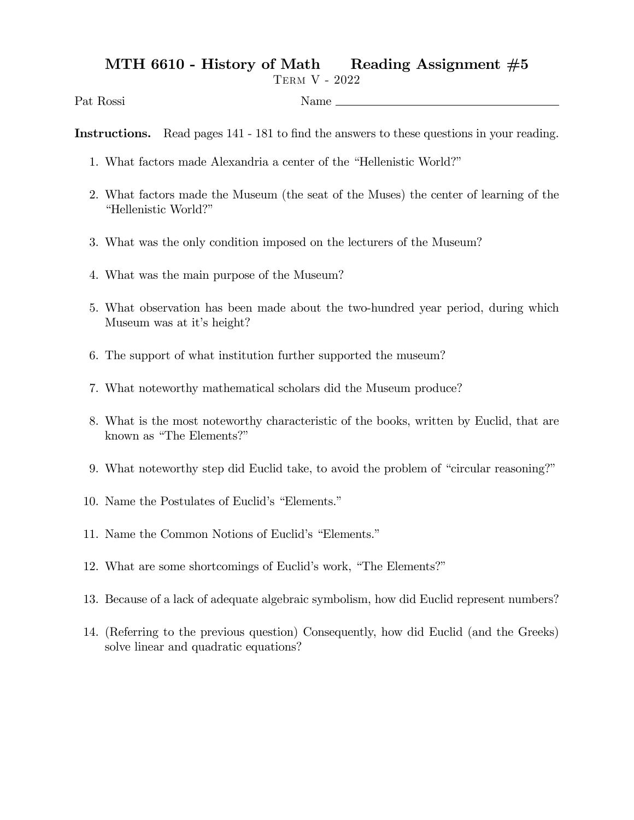## MTH 6610 - History of Math Reading Assignment  $#5$

Term V - 2022

Pat Rossi Name

Instructions. Read pages 141 - 181 to find the answers to these questions in your reading.

- 1. What factors made Alexandria a center of the "Hellenistic World?"
- 2. What factors made the Museum (the seat of the Muses) the center of learning of the "Hellenistic World?"
- 3. What was the only condition imposed on the lecturers of the Museum?
- 4. What was the main purpose of the Museum?
- 5. What observation has been made about the two-hundred year period, during which Museum was at it's height?
- 6. The support of what institution further supported the museum?
- 7. What noteworthy mathematical scholars did the Museum produce?
- 8. What is the most noteworthy characteristic of the books, written by Euclid, that are known as "The Elements?"
- 9. What noteworthy step did Euclid take, to avoid the problem of "circular reasoning?"
- 10. Name the Postulates of Euclid's "Elements."
- 11. Name the Common Notions of Euclid's "Elements."
- 12. What are some shortcomings of Euclid's work, "The Elements?"
- 13. Because of a lack of adequate algebraic symbolism, how did Euclid represent numbers?
- 14. (Referring to the previous question) Consequently, how did Euclid (and the Greeks) solve linear and quadratic equations?